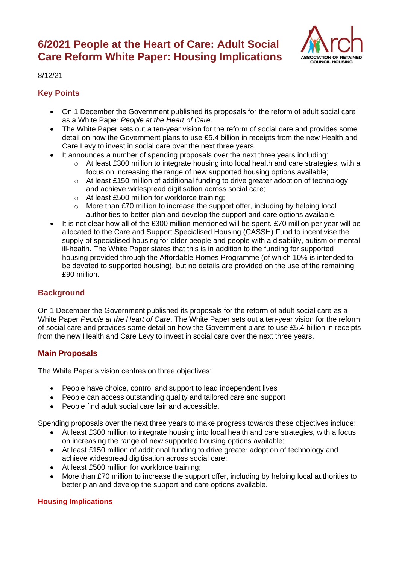# **6/2021 People at the Heart of Care: Adult Social Care Reform White Paper: Housing Implications**



8/12/21

## **Key Points**

- On 1 December the Government published its proposals for the reform of adult social care as a White Paper *People at the Heart of Care*.
- The White Paper sets out a ten-year vision for the reform of social care and provides some detail on how the Government plans to use £5.4 billion in receipts from the new Health and Care Levy to invest in social care over the next three years.
- It announces a number of spending proposals over the next three years including:
	- $\circ$  At least £300 million to integrate housing into local health and care strategies, with a focus on increasing the range of new supported housing options available;
	- $\circ$  At least £150 million of additional funding to drive greater adoption of technology and achieve widespread digitisation across social care;
	- o At least £500 million for workforce training;
	- o More than £70 million to increase the support offer, including by helping local authorities to better plan and develop the support and care options available.
- It is not clear how all of the £300 million mentioned will be spent. £70 million per year will be allocated to the Care and Support Specialised Housing (CASSH) Fund to incentivise the supply of specialised housing for older people and people with a disability, autism or mental ill-health. The White Paper states that this is in addition to the funding for supported housing provided through the Affordable Homes Programme (of which 10% is intended to be devoted to supported housing), but no details are provided on the use of the remaining £90 million.

## **Background**

On 1 December the Government published its proposals for the reform of adult social care as a White Paper *People at the Heart of Care*. The White Paper sets out a ten-year vision for the reform of social care and provides some detail on how the Government plans to use £5.4 billion in receipts from the new Health and Care Levy to invest in social care over the next three years.

## **Main Proposals**

The White Paper's vision centres on three objectives:

- People have choice, control and support to lead independent lives
- People can access outstanding quality and tailored care and support
- People find adult social care fair and accessible.

Spending proposals over the next three years to make progress towards these objectives include:

- At least £300 million to integrate housing into local health and care strategies, with a focus on increasing the range of new supported housing options available;
- At least £150 million of additional funding to drive greater adoption of technology and achieve widespread digitisation across social care;
- At least £500 million for workforce training;
- More than £70 million to increase the support offer, including by helping local authorities to better plan and develop the support and care options available.

### **Housing Implications**